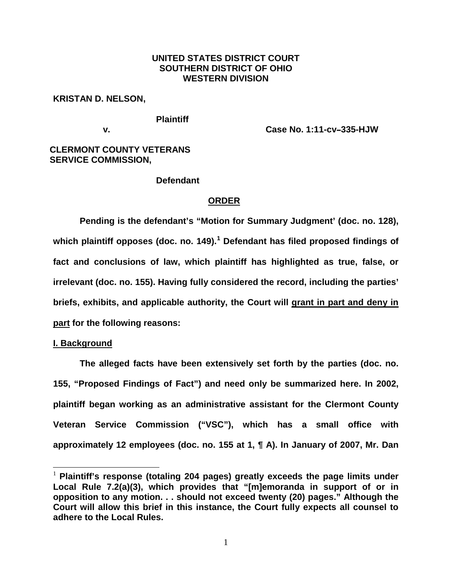# **UNITED STATES DISTRICT COURT SOUTHERN DISTRICT OF OHIO WESTERN DIVISION**

## **KRISTAN D. NELSON,**

**Plaintiff**

**v. Case No. 1:11-cv-335-HJW** 

# **CLERMONT COUNTY VETERANS SERVICE COMMISSION,**

## **Defendant**

# **ORDER**

**Pending is the defendant's "Motion for Summary Judgment' (doc. no. 128), which plaintiff opposes (doc. no. 149). [1](#page-0-0) Defendant has filed proposed findings of fact and conclusions of law, which plaintiff has highlighted as true, false, or irrelevant (doc. no. 155). Having fully considered the record, including the parties' briefs, exhibits, and applicable authority, the Court will grant in part and deny in part for the following reasons:**

### **I. Background**

**The alleged facts have been extensively set forth by the parties (doc. no. 155, "Proposed Findings of Fact") and need only be summarized here. In 2002, plaintiff began working as an administrative assistant for the Clermont County Veteran Service Commission ("VSC"), which has a small office with approximately 12 employees (doc. no. 155 at 1, ¶ A). In January of 2007, Mr. Dan** 

<span id="page-0-0"></span> <sup>1</sup> **Plaintiff's response (totaling 204 pages) greatly exceeds the page limits under Local Rule 7.2(a)(3), which provides that "[m]emoranda in support of or in opposition to any motion. . . should not exceed twenty (20) pages." Although the Court will allow this brief in this instance, the Court fully expects all counsel to adhere to the Local Rules.**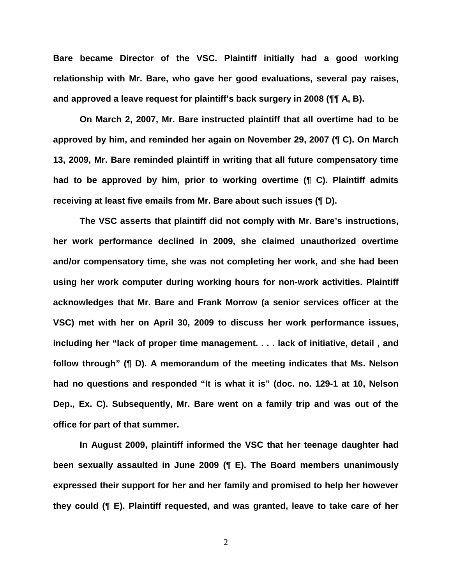**Bare became Director of the VSC. Plaintiff initially had a good working relationship with Mr. Bare, who gave her good evaluations, several pay raises, and approved a leave request for plaintiff's back surgery in 2008 (¶¶ A, B).**

**On March 2, 2007, Mr. Bare instructed plaintiff that all overtime had to be approved by him, and reminded her again on November 29, 2007 (¶ C). On March 13, 2009, Mr. Bare reminded plaintiff in writing that all future compensatory time had to be approved by him, prior to working overtime (¶ C). Plaintiff admits receiving at least five emails from Mr. Bare about such issues (¶ D).** 

**The VSC asserts that plaintiff did not comply with Mr. Bare's instructions, her work performance declined in 2009, she claimed unauthorized overtime and/or compensatory time, she was not completing her work, and she had been using her work computer during working hours for non-work activities. Plaintiff acknowledges that Mr. Bare and Frank Morrow (a senior services officer at the VSC) met with her on April 30, 2009 to discuss her work performance issues, including her "lack of proper time management. . . . lack of initiative, detail , and follow through" (¶ D). A memorandum of the meeting indicates that Ms. Nelson had no questions and responded "It is what it is" (doc. no. 129-1 at 10, Nelson Dep., Ex. C). Subsequently, Mr. Bare went on a family trip and was out of the office for part of that summer.**

**In August 2009, plaintiff informed the VSC that her teenage daughter had been sexually assaulted in June 2009 (¶ E). The Board members unanimously expressed their support for her and her family and promised to help her however they could (¶ E). Plaintiff requested, and was granted, leave to take care of her**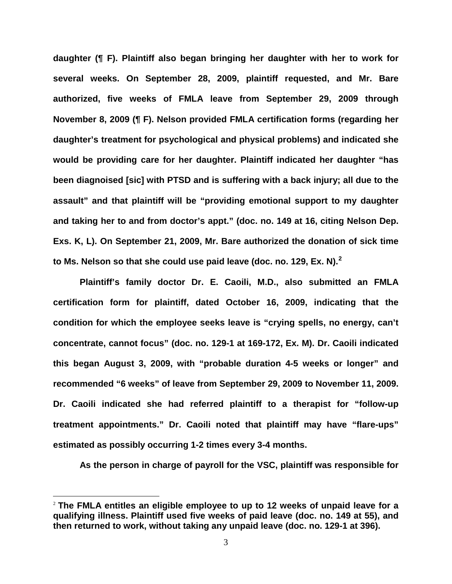**daughter (¶ F). Plaintiff also began bringing her daughter with her to work for several weeks. On September 28, 2009, plaintiff requested, and Mr. Bare authorized, five weeks of FMLA leave from September 29, 2009 through November 8, 2009 (¶ F). Nelson provided FMLA certification forms (regarding her daughter's treatment for psychological and physical problems) and indicated she would be providing care for her daughter. Plaintiff indicated her daughter "has been diagnoised [sic] with PTSD and is suffering with a back injury; all due to the assault" and that plaintiff will be "providing emotional support to my daughter and taking her to and from doctor's appt." (doc. no. 149 at 16, citing Nelson Dep. Exs. K, L). On September 21, 2009, Mr. Bare authorized the donation of sick time to Ms. Nelson so that she could use paid leave (doc. no. 129, Ex. N).[2](#page-2-0)**

**Plaintiff's family doctor Dr. E. Caoili, M.D., also submitted an FMLA certification form for plaintiff, dated October 16, 2009, indicating that the condition for which the employee seeks leave is "crying spells, no energy, can't concentrate, cannot focus" (doc. no. 129-1 at 169-172, Ex. M). Dr. Caoili indicated this began August 3, 2009, with "probable duration 4-5 weeks or longer" and recommended "6 weeks" of leave from September 29, 2009 to November 11, 2009. Dr. Caoili indicated she had referred plaintiff to a therapist for "follow-up treatment appointments." Dr. Caoili noted that plaintiff may have "flare-ups" estimated as possibly occurring 1-2 times every 3-4 months.**

**As the person in charge of payroll for the VSC, plaintiff was responsible for** 

<span id="page-2-0"></span> <sup>2</sup> **The FMLA entitles an eligible employee to up to 12 weeks of unpaid leave for a qualifying illness. Plaintiff used five weeks of paid leave (doc. no. 149 at 55), and then returned to work, without taking any unpaid leave (doc. no. 129-1 at 396).**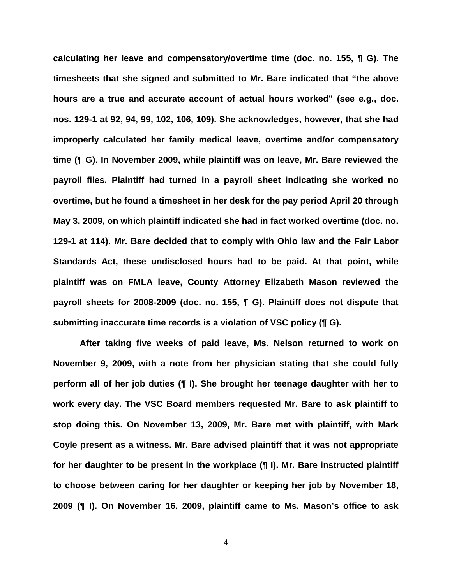**calculating her leave and compensatory/overtime time (doc. no. 155, ¶ G). The timesheets that she signed and submitted to Mr. Bare indicated that "the above hours are a true and accurate account of actual hours worked" (see e.g., doc. nos. 129-1 at 92, 94, 99, 102, 106, 109). She acknowledges, however, that she had improperly calculated her family medical leave, overtime and/or compensatory time (¶ G). In November 2009, while plaintiff was on leave, Mr. Bare reviewed the payroll files. Plaintiff had turned in a payroll sheet indicating she worked no overtime, but he found a timesheet in her desk for the pay period April 20 through May 3, 2009, on which plaintiff indicated she had in fact worked overtime (doc. no. 129-1 at 114). Mr. Bare decided that to comply with Ohio law and the Fair Labor Standards Act, these undisclosed hours had to be paid. At that point, while plaintiff was on FMLA leave, County Attorney Elizabeth Mason reviewed the payroll sheets for 2008-2009 (doc. no. 155, ¶ G). Plaintiff does not dispute that submitting inaccurate time records is a violation of VSC policy (¶ G).** 

**After taking five weeks of paid leave, Ms. Nelson returned to work on November 9, 2009, with a note from her physician stating that she could fully perform all of her job duties (¶ I). She brought her teenage daughter with her to work every day. The VSC Board members requested Mr. Bare to ask plaintiff to stop doing this. On November 13, 2009, Mr. Bare met with plaintiff, with Mark Coyle present as a witness. Mr. Bare advised plaintiff that it was not appropriate for her daughter to be present in the workplace (¶ I). Mr. Bare instructed plaintiff to choose between caring for her daughter or keeping her job by November 18, 2009 (¶ I). On November 16, 2009, plaintiff came to Ms. Mason's office to ask**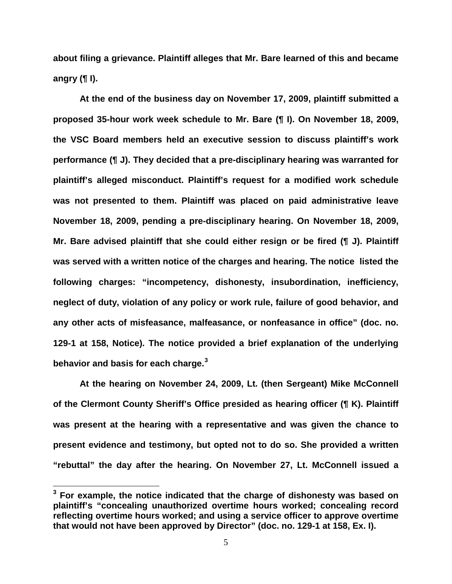**about filing a grievance. Plaintiff alleges that Mr. Bare learned of this and became angry (¶ I).** 

**At the end of the business day on November 17, 2009, plaintiff submitted a proposed 35-hour work week schedule to Mr. Bare (¶ I). On November 18, 2009, the VSC Board members held an executive session to discuss plaintiff's work performance (¶ J). They decided that a pre-disciplinary hearing was warranted for plaintiff's alleged misconduct. Plaintiff's request for a modified work schedule was not presented to them. Plaintiff was placed on paid administrative leave November 18, 2009, pending a pre-disciplinary hearing. On November 18, 2009, Mr. Bare advised plaintiff that she could either resign or be fired (¶ J). Plaintiff was served with a written notice of the charges and hearing. The notice listed the following charges: "incompetency, dishonesty, insubordination, inefficiency, neglect of duty, violation of any policy or work rule, failure of good behavior, and any other acts of misfeasance, malfeasance, or nonfeasance in office" (doc. no. 129-1 at 158, Notice). The notice provided a brief explanation of the underlying behavior and basis for each charge. [3](#page-4-0)**

**At the hearing on November 24, 2009, Lt. (then Sergeant) Mike McConnell of the Clermont County Sheriff's Office presided as hearing officer (¶ K). Plaintiff was present at the hearing with a representative and was given the chance to present evidence and testimony, but opted not to do so. She provided a written "rebuttal" the day after the hearing. On November 27, Lt. McConnell issued a** 

<span id="page-4-0"></span>**<sup>3</sup> For example, the notice indicated that the charge of dishonesty was based on plaintiff's "concealing unauthorized overtime hours worked; concealing record reflecting overtime hours worked; and using a service officer to approve overtime that would not have been approved by Director" (doc. no. 129-1 at 158, Ex. I).**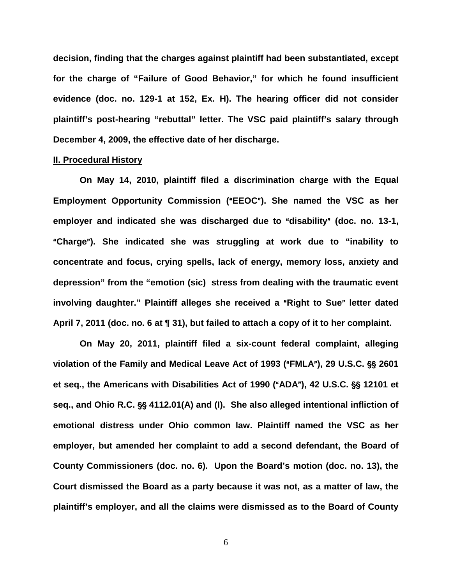**decision, finding that the charges against plaintiff had been substantiated, except for the charge of "Failure of Good Behavior," for which he found insufficient evidence (doc. no. 129-1 at 152, Ex. H). The hearing officer did not consider plaintiff's post-hearing "rebuttal" letter. The VSC paid plaintiff's salary through December 4, 2009, the effective date of her discharge.**

## **II. Procedural History**

**On May 14, 2010, plaintiff filed a discrimination charge with the Equal Employment Opportunity Commission ("EEOC"). She named the VSC as her employer and indicated she was discharged due to "disability" (doc. no. 13-1,** A**Charge**@**). She indicated she was struggling at work due to "inability to concentrate and focus, crying spells, lack of energy, memory loss, anxiety and depression" from the "emotion (sic) stress from dealing with the traumatic event**  involving daughter." Plaintiff alleges she received a "Right to Sue" letter dated **April 7, 2011 (doc. no. 6 at ¶ 31), but failed to attach a copy of it to her complaint.**

**On May 20, 2011, plaintiff filed a six-count federal complaint, alleging**  violation of the Family and Medical Leave Act of 1993 ("FMLA"), 29 U.S.C. §§ 2601 **et seq., the Americans with Disabilities Act of 1990 ("ADA"), 42 U.S.C. §§ 12101 et** seq., and Ohio R.C. §§ 4112.01(A) and (I). She also alleged intentional infliction of **emotional distress under Ohio common law. Plaintiff named the VSC as her employer, but amended her complaint to add a second defendant, the Board of County Commissioners (doc. no. 6). Upon the Board's motion (doc. no. 13), the Court dismissed the Board as a party because it was not, as a matter of law, the plaintiff's employer, and all the claims were dismissed as to the Board of County**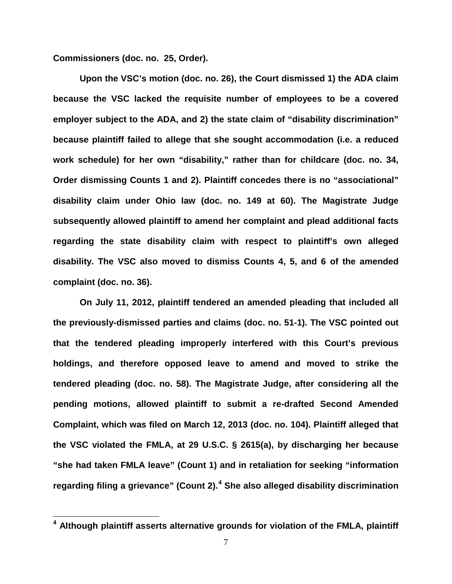**Commissioners (doc. no. 25, Order).** 

**Upon the VSC's motion (doc. no. 26), the Court dismissed 1) the ADA claim because the VSC lacked the requisite number of employees to be a covered employer subject to the ADA, and 2) the state claim of "disability discrimination" because plaintiff failed to allege that she sought accommodation (i.e. a reduced work schedule) for her own "disability," rather than for childcare (doc. no. 34, Order dismissing Counts 1 and 2). Plaintiff concedes there is no "associational" disability claim under Ohio law (doc. no. 149 at 60). The Magistrate Judge subsequently allowed plaintiff to amend her complaint and plead additional facts regarding the state disability claim with respect to plaintiff's own alleged disability. The VSC also moved to dismiss Counts 4, 5, and 6 of the amended complaint (doc. no. 36).**

**On July 11, 2012, plaintiff tendered an amended pleading that included all the previously-dismissed parties and claims (doc. no. 51-1). The VSC pointed out that the tendered pleading improperly interfered with this Court's previous holdings, and therefore opposed leave to amend and moved to strike the tendered pleading (doc. no. 58). The Magistrate Judge, after considering all the pending motions, allowed plaintiff to submit a re-drafted Second Amended Complaint, which was filed on March 12, 2013 (doc. no. 104). Plaintiff alleged that the VSC violated the FMLA, at 29 U.S.C. § 2615(a), by discharging her because "she had taken FMLA leave" (Count 1) and in retaliation for seeking "information regarding filing a grievance" (Count 2). [4](#page-6-0) She also alleged disability discrimination** 

<span id="page-6-0"></span>**<sup>4</sup> Although plaintiff asserts alternative grounds for violation of the FMLA, plaintiff**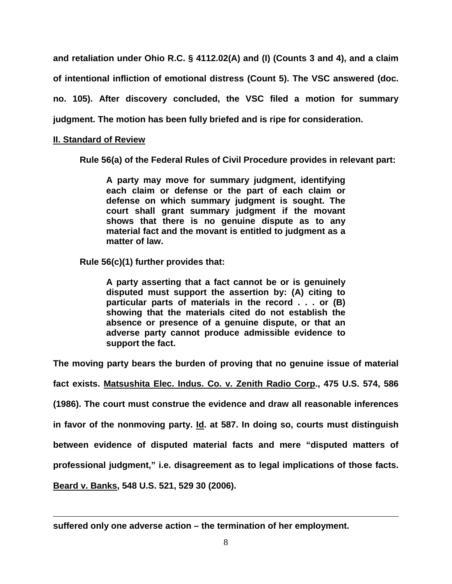**and retaliation under Ohio R.C. § 4112.02(A) and (I) (Counts 3 and 4), and a claim of intentional infliction of emotional distress (Count 5). The VSC answered (doc. no. 105). After discovery concluded, the VSC filed a motion for summary judgment. The motion has been fully briefed and is ripe for consideration.**

# **II. Standard of Review**

**Rule 56(a) of the Federal Rules of Civil Procedure provides in relevant part:**

**A party may move for summary judgment, identifying each claim or defense or the part of each claim or defense on which summary judgment is sought. The court shall grant summary judgment if the movant shows that there is no genuine dispute as to any material fact and the movant is entitled to judgment as a matter of law.**

**Rule 56(c)(1) further provides that:**

**A party asserting that a fact cannot be or is genuinely disputed must support the assertion by: (A) citing to particular parts of materials in the record . . . or (B) showing that the materials cited do not establish the absence or presence of a genuine dispute, or that an adverse party cannot produce admissible evidence to support the fact.**

**The moving party bears the burden of proving that no genuine issue of material** 

**fact exists. Matsushita Elec. Indus. Co. v. Zenith Radio Corp., 475 U.S. 574, 586 (1986). The court must construe the evidence and draw all reasonable inferences** 

**in favor of the nonmoving party. Id. at 587. In doing so, courts must distinguish** 

**between evidence of disputed material facts and mere "disputed matters of** 

**professional judgment," i.e. disagreement as to legal implications of those facts.** 

**Beard v. Banks, 548 U.S. 521, 529 30 (2006).**

 $\overline{a}$ 

**suffered only one adverse action – the termination of her employment.**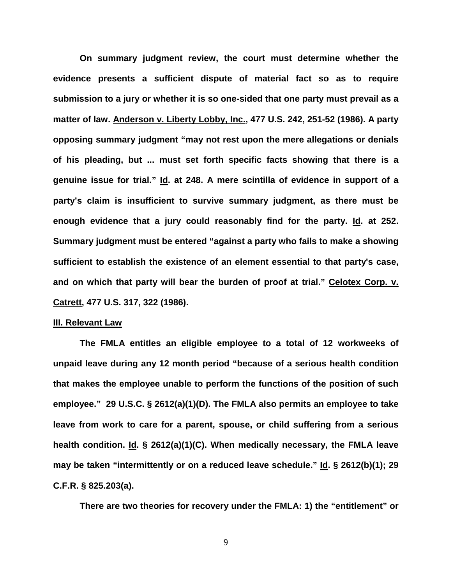**On summary judgment review, the court must determine whether the evidence presents a sufficient dispute of material fact so as to require submission to a jury or whether it is so one-sided that one party must prevail as a matter of law. Anderson v. Liberty Lobby, Inc., 477 U.S. 242, 251-52 (1986). A party opposing summary judgment "may not rest upon the mere allegations or denials of his pleading, but ... must set forth specific facts showing that there is a genuine issue for trial." Id. at 248. A mere scintilla of evidence in support of a party's claim is insufficient to survive summary judgment, as there must be enough evidence that a jury could reasonably find for the party. Id. at 252. Summary judgment must be entered "against a party who fails to make a showing sufficient to establish the existence of an element essential to that party's case, and on which that party will bear the burden of proof at trial." Celotex Corp. v. Catrett, 477 U.S. 317, 322 (1986).**

### **III. Relevant Law**

**The FMLA entitles an eligible employee to a total of 12 workweeks of unpaid leave during any 12 month period "because of a serious health condition that makes the employee unable to perform the functions of the position of such employee." 29 U.S.C. § 2612(a)(1)(D). The FMLA also permits an employee to take leave from work to care for a parent, spouse, or child suffering from a serious health condition. Id. § 2612(a)(1)(C). When medically necessary, the FMLA leave may be taken "intermittently or on a reduced leave schedule." Id. § 2612(b)(1); 29 C.F.R. § 825.203(a).**

**There are two theories for recovery under the FMLA: 1) the "entitlement" or**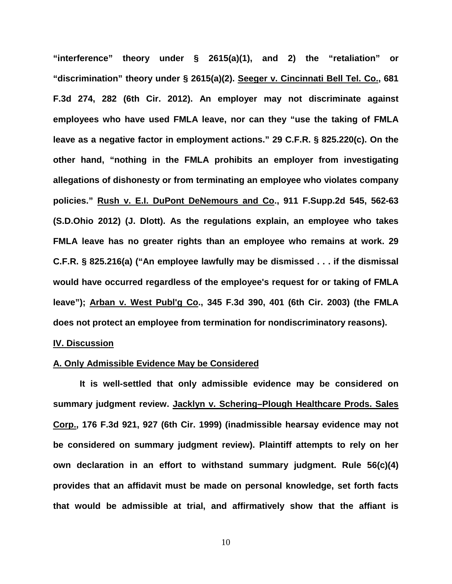**"interference" theory under § 2615(a)(1), and 2) the "retaliation" or "discrimination" theory under § 2615(a)(2). Seeger v. Cincinnati Bell Tel. Co., 681 F.3d 274, 282 (6th Cir. 2012). An employer may not discriminate against employees who have used FMLA leave, nor can they "use the taking of FMLA leave as a negative factor in employment actions." 29 C.F.R. § 825.220(c). On the other hand, "nothing in the FMLA prohibits an employer from investigating allegations of dishonesty or from terminating an employee who violates company policies." Rush v. E.I. DuPont DeNemours and Co., 911 F.Supp.2d 545, 562-63 (S.D.Ohio 2012) (J. Dlott). As the regulations explain, an employee who takes FMLA leave has no greater rights than an employee who remains at work. 29 C.F.R. § 825.216(a) ("An employee lawfully may be dismissed . . . if the dismissal would have occurred regardless of the employee's request for or taking of FMLA leave"); Arban v. West Publ'g Co., 345 F.3d 390, 401 (6th Cir. 2003) (the FMLA does not protect an employee from termination for nondiscriminatory reasons).**

### **IV. Discussion**

## **A. Only Admissible Evidence May be Considered**

**It is well-settled that only admissible evidence may be considered on summary judgment review. Jacklyn v. Schering–Plough Healthcare Prods. Sales Corp., 176 F.3d 921, 927 (6th Cir. 1999) (inadmissible hearsay evidence may not be considered on summary judgment review). Plaintiff attempts to rely on her own declaration in an effort to withstand summary judgment. Rule 56(c)(4) provides that an affidavit must be made on personal knowledge, set forth facts that would be admissible at trial, and affirmatively show that the affiant is**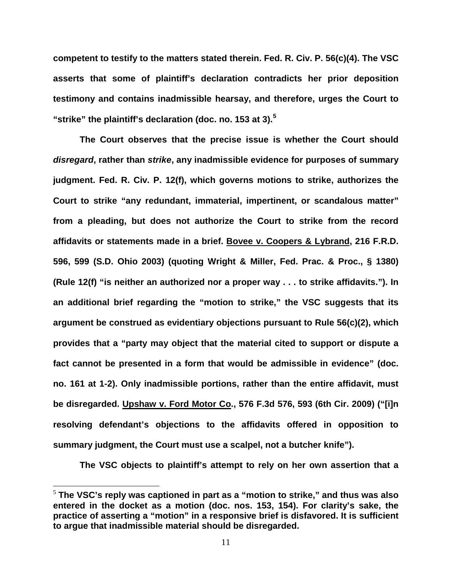**competent to testify to the matters stated therein. Fed. R. Civ. P. 56(c)(4). The VSC asserts that some of plaintiff's declaration contradicts her prior deposition testimony and contains inadmissible hearsay, and therefore, urges the Court to "strike" the plaintiff's declaration (doc. no. 153 at 3). [5](#page-10-0)**

**The Court observes that the precise issue is whether the Court should**  *disregard***, rather than** *strike***, any inadmissible evidence for purposes of summary judgment. Fed. R. Civ. P. 12(f), which governs motions to strike, authorizes the Court to strike "any redundant, immaterial, impertinent, or scandalous matter" from a pleading, but does not authorize the Court to strike from the record affidavits or statements made in a brief. Bovee v. Coopers & Lybrand, 216 F.R.D. 596, 599 (S.D. Ohio 2003) (quoting Wright & Miller, Fed. Prac. & Proc., § 1380) (Rule 12(f) "is neither an authorized nor a proper way . . . to strike affidavits."). In an additional brief regarding the "motion to strike," the VSC suggests that its argument be construed as evidentiary objections pursuant to Rule 56(c)(2), which provides that a "party may object that the material cited to support or dispute a fact cannot be presented in a form that would be admissible in evidence" (doc. no. 161 at 1-2). Only inadmissible portions, rather than the entire affidavit, must be disregarded. Upshaw v. Ford Motor Co., 576 F.3d 576, 593 (6th Cir. 2009) ("[i]n resolving defendant's objections to the affidavits offered in opposition to summary judgment, the Court must use a scalpel, not a butcher knife").**

**The VSC objects to plaintiff's attempt to rely on her own assertion that a**

<span id="page-10-0"></span> <sup>5</sup> **The VSC's reply was captioned in part as a "motion to strike," and thus was also entered in the docket as a motion (doc. nos. 153, 154). For clarity's sake, the practice of asserting a "motion" in a responsive brief is disfavored. It is sufficient to argue that inadmissible material should be disregarded.**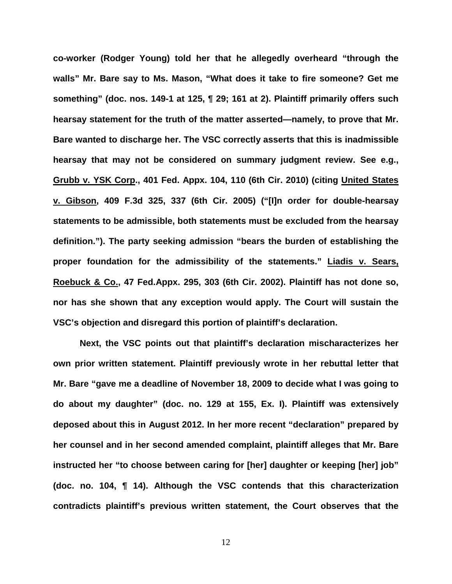**co-worker (Rodger Young) told her that he allegedly overheard "through the walls" Mr. Bare say to Ms. Mason, "What does it take to fire someone? Get me something" (doc. nos. 149-1 at 125, ¶ 29; 161 at 2). Plaintiff primarily offers such hearsay statement for the truth of the matter asserted—namely, to prove that Mr. Bare wanted to discharge her. The VSC correctly asserts that this is inadmissible hearsay that may not be considered on summary judgment review. See e.g., Grubb v. YSK Corp., 401 Fed. Appx. 104, 110 (6th Cir. 2010) (citing United States v. Gibson, 409 F.3d 325, 337 (6th Cir. 2005) ("[I]n order for double-hearsay statements to be admissible, both statements must be excluded from the hearsay definition."). The party seeking admission "bears the burden of establishing the proper foundation for the admissibility of the statements." Liadis v. Sears, Roebuck & Co., 47 Fed.Appx. 295, 303 (6th Cir. 2002). Plaintiff has not done so, nor has she shown that any exception would apply. The Court will sustain the VSC's objection and disregard this portion of plaintiff's declaration.**

**Next, the VSC points out that plaintiff's declaration mischaracterizes her own prior written statement. Plaintiff previously wrote in her rebuttal letter that Mr. Bare "gave me a deadline of November 18, 2009 to decide what I was going to do about my daughter" (doc. no. 129 at 155, Ex. I). Plaintiff was extensively deposed about this in August 2012. In her more recent "declaration" prepared by her counsel and in her second amended complaint, plaintiff alleges that Mr. Bare instructed her "to choose between caring for [her] daughter or keeping [her] job" (doc. no. 104, ¶ 14). Although the VSC contends that this characterization contradicts plaintiff's previous written statement, the Court observes that the**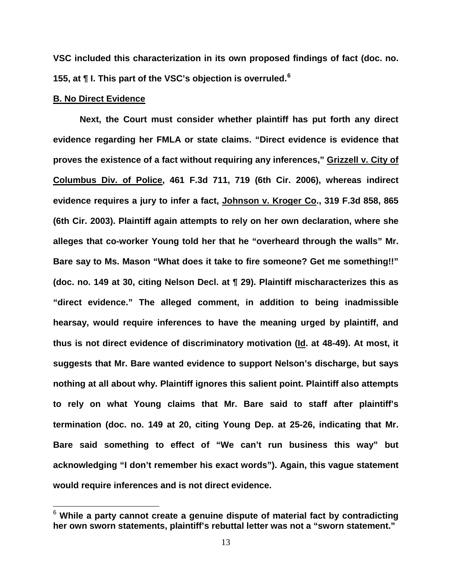**VSC included this characterization in its own proposed findings of fact (doc. no. 155, at ¶ I. This part of the VSC's objection is overruled.[6](#page-12-0)**

## **B. No Direct Evidence**

**Next, the Court must consider whether plaintiff has put forth any direct evidence regarding her FMLA or state claims. "Direct evidence is evidence that proves the existence of a fact without requiring any inferences," Grizzell v. City of Columbus Div. of Police, 461 F.3d 711, 719 (6th Cir. 2006), whereas indirect evidence requires a jury to infer a fact, Johnson v. Kroger Co., 319 F.3d 858, 865 (6th Cir. 2003). Plaintiff again attempts to rely on her own declaration, where she alleges that co-worker Young told her that he "overheard through the walls" Mr. Bare say to Ms. Mason "What does it take to fire someone? Get me something!!" (doc. no. 149 at 30, citing Nelson Decl. at ¶ 29). Plaintiff mischaracterizes this as "direct evidence." The alleged comment, in addition to being inadmissible hearsay, would require inferences to have the meaning urged by plaintiff, and thus is not direct evidence of discriminatory motivation (Id. at 48-49). At most, it suggests that Mr. Bare wanted evidence to support Nelson's discharge, but says nothing at all about why. Plaintiff ignores this salient point. Plaintiff also attempts to rely on what Young claims that Mr. Bare said to staff after plaintiff's termination (doc. no. 149 at 20, citing Young Dep. at 25-26, indicating that Mr. Bare said something to effect of "We can't run business this way" but acknowledging "I don't remember his exact words"). Again, this vague statement would require inferences and is not direct evidence.** 

<span id="page-12-0"></span><sup>6</sup> **While a party cannot create a genuine dispute of material fact by contradicting her own sworn statements, plaintiff's rebuttal letter was not a "sworn statement."**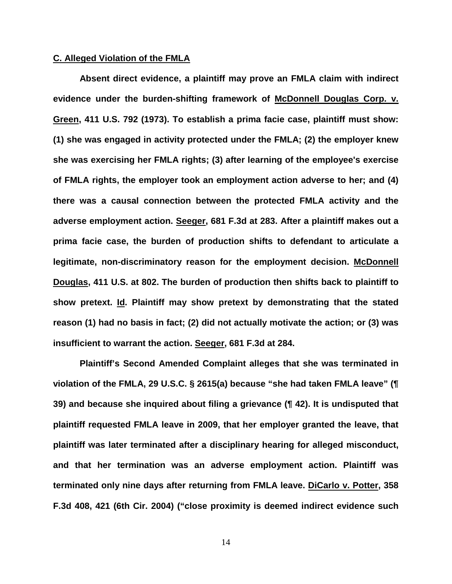### **C. Alleged Violation of the FMLA**

**Absent direct evidence, a plaintiff may prove an FMLA claim with indirect evidence under the burden-shifting framework of McDonnell Douglas Corp. v. Green, 411 U.S. 792 (1973). To establish a prima facie case, plaintiff must show: (1) she was engaged in activity protected under the FMLA; (2) the employer knew she was exercising her FMLA rights; (3) after learning of the employee's exercise of FMLA rights, the employer took an employment action adverse to her; and (4) there was a causal connection between the protected FMLA activity and the adverse employment action. Seeger, 681 F.3d at 283. After a plaintiff makes out a prima facie case, the burden of production shifts to defendant to articulate a legitimate, non-discriminatory reason for the employment decision. McDonnell Douglas, 411 U.S. at 802. The burden of production then shifts back to plaintiff to show pretext. Id. Plaintiff may show pretext by demonstrating that the stated reason (1) had no basis in fact; (2) did not actually motivate the action; or (3) was insufficient to warrant the action. Seeger, 681 F.3d at 284.**

**Plaintiff's Second Amended Complaint alleges that she was terminated in violation of the FMLA, 29 U.S.C. § 2615(a) because "she had taken FMLA leave" (¶ 39) and because she inquired about filing a grievance (¶ 42). It is undisputed that plaintiff requested FMLA leave in 2009, that her employer granted the leave, that plaintiff was later terminated after a disciplinary hearing for alleged misconduct, and that her termination was an adverse employment action. Plaintiff was terminated only nine days after returning from FMLA leave. DiCarlo v. Potter, 358 F.3d 408, 421 (6th Cir. 2004) ("close proximity is deemed indirect evidence such**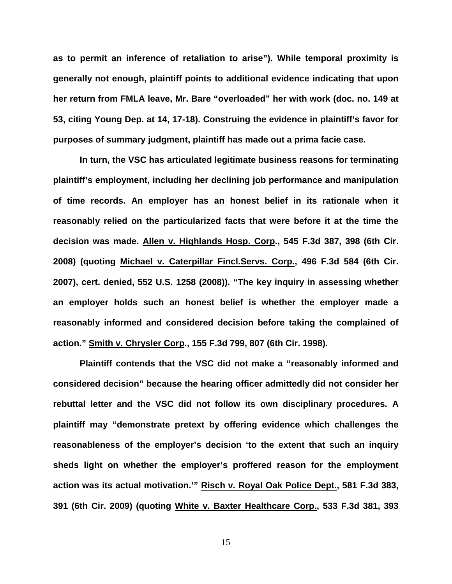**as to permit an inference of retaliation to arise"). While temporal proximity is generally not enough, plaintiff points to additional evidence indicating that upon her return from FMLA leave, Mr. Bare "overloaded" her with work (doc. no. 149 at 53, citing Young Dep. at 14, 17-18). Construing the evidence in plaintiff's favor for purposes of summary judgment, plaintiff has made out a prima facie case.** 

**In turn, the VSC has articulated legitimate business reasons for terminating plaintiff's employment, including her declining job performance and manipulation of time records. An employer has an honest belief in its rationale when it reasonably relied on the particularized facts that were before it at the time the decision was made. Allen v. Highlands Hosp. Corp., 545 F.3d 387, 398 (6th Cir. 2008) (quoting Michael v. Caterpillar Fincl.Servs. Corp., 496 F.3d 584 (6th Cir. 2007), cert. denied, 552 U.S. 1258 (2008)). "The key inquiry in assessing whether an employer holds such an honest belief is whether the employer made a reasonably informed and considered decision before taking the complained of action." Smith v. Chrysler Corp., 155 F.3d 799, 807 (6th Cir. 1998).**

**Plaintiff contends that the VSC did not make a "reasonably informed and considered decision" because the hearing officer admittedly did not consider her rebuttal letter and the VSC did not follow its own disciplinary procedures. A plaintiff may "demonstrate pretext by offering evidence which challenges the reasonableness of the employer's decision 'to the extent that such an inquiry sheds light on whether the employer's proffered reason for the employment action was its actual motivation.'" Risch v. Royal Oak Police Dept., 581 F.3d 383, 391 (6th Cir. 2009) (quoting White v. Baxter Healthcare Corp., 533 F.3d 381, 393**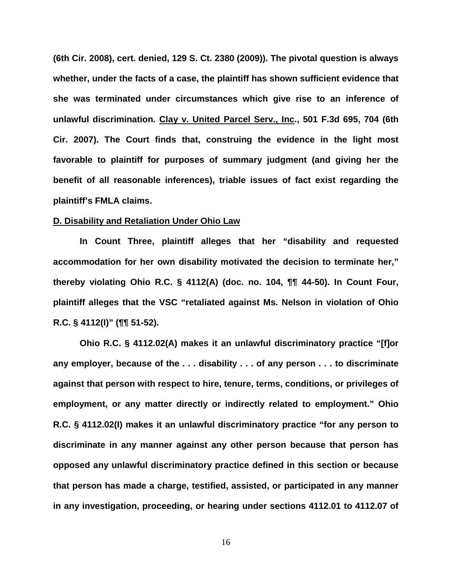**(6th Cir. 2008), cert. denied, 129 S. Ct. 2380 (2009)). The pivotal question is always whether, under the facts of a case, the plaintiff has shown sufficient evidence that she was terminated under circumstances which give rise to an inference of unlawful discrimination. Clay v. United Parcel Serv., Inc., 501 F.3d 695, 704 (6th Cir. 2007). The Court finds that, construing the evidence in the light most favorable to plaintiff for purposes of summary judgment (and giving her the benefit of all reasonable inferences), triable issues of fact exist regarding the plaintiff's FMLA claims.**

### **D. Disability and Retaliation Under Ohio Law**

**In Count Three, plaintiff alleges that her "disability and requested accommodation for her own disability motivated the decision to terminate her," thereby violating Ohio R.C. § 4112(A) (doc. no. 104, ¶¶ 44-50). In Count Four, plaintiff alleges that the VSC "retaliated against Ms. Nelson in violation of Ohio R.C. § 4112(I)" (¶¶ 51-52).**

**Ohio R.C. § 4112.02(A) makes it an unlawful discriminatory practice "[f]or any employer, because of the . . . disability . . . of any person . . . to discriminate against that person with respect to hire, tenure, terms, conditions, or privileges of employment, or any matter directly or indirectly related to employment." Ohio R.C. § 4112.02(I) makes it an unlawful discriminatory practice "for any person to discriminate in any manner against any other person because that person has opposed any unlawful discriminatory practice defined in this section or because that person has made a charge, testified, assisted, or participated in any manner in any investigation, proceeding, or hearing under sections 4112.01 to 4112.07 of**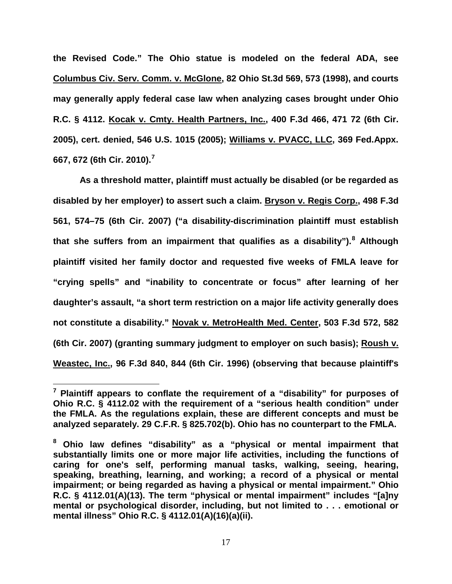**the Revised Code." The Ohio statue is modeled on the federal ADA, see Columbus Civ. Serv. Comm. v. McGlone, 82 Ohio St.3d 569, 573 (1998), and courts may generally apply federal case law when analyzing cases brought under Ohio R.C. § 4112. Kocak v. Cmty. Health Partners, Inc., 400 F.3d 466, 471 72 (6th Cir. 2005), cert. denied, 546 U.S. 1015 (2005); Williams v. PVACC, LLC, 369 Fed.Appx. 667, 672 (6th Cir. 2010).[7](#page-16-0)**

**As a threshold matter, plaintiff must actually be disabled (or be regarded as disabled by her employer) to assert such a claim. Bryson v. Regis Corp., 498 F.3d 561, 574–75 (6th Cir. 2007) ("a disability-discrimination plaintiff must establish that she suffers from an impairment that qualifies as a disability"). [8](#page-16-1) Although plaintiff visited her family doctor and requested five weeks of FMLA leave for "crying spells" and "inability to concentrate or focus" after learning of her daughter's assault, "a short term restriction on a major life activity generally does not constitute a disability." Novak v. MetroHealth Med. Center, 503 F.3d 572, 582 (6th Cir. 2007) (granting summary judgment to employer on such basis); Roush v. Weastec, Inc., 96 F.3d 840, 844 (6th Cir. 1996) (observing that because plaintiff's** 

<span id="page-16-0"></span>**<sup>7</sup> Plaintiff appears to conflate the requirement of a "disability" for purposes of Ohio R.C. § 4112.02 with the requirement of a "serious health condition" under the FMLA. As the regulations explain, these are different concepts and must be analyzed separately. 29 C.F.R. § 825.702(b). Ohio has no counterpart to the FMLA.**

<span id="page-16-1"></span>**<sup>8</sup> Ohio law defines "disability" as a "physical or mental impairment that substantially limits one or more major life activities, including the functions of caring for one's self, performing manual tasks, walking, seeing, hearing, speaking, breathing, learning, and working; a record of a physical or mental impairment; or being regarded as having a physical or mental impairment." Ohio R.C. § 4112.01(A)(13). The term "physical or mental impairment" includes "[a]ny mental or psychological disorder, including, but not limited to . . . emotional or mental illness" Ohio R.C. § 4112.01(A)(16)(a)(ii).**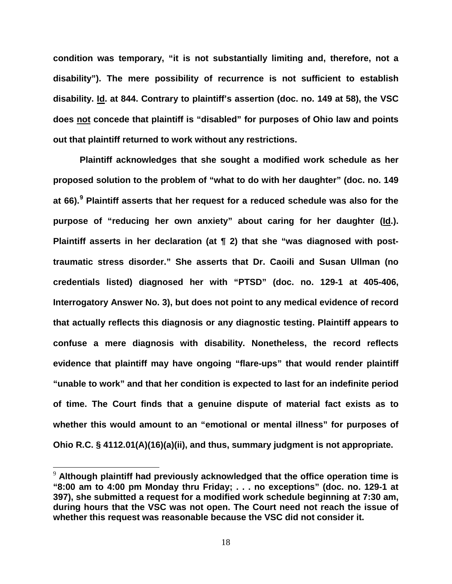**condition was temporary, "it is not substantially limiting and, therefore, not a disability"). The mere possibility of recurrence is not sufficient to establish disability. Id. at 844. Contrary to plaintiff's assertion (doc. no. 149 at 58), the VSC does not concede that plaintiff is "disabled" for purposes of Ohio law and points out that plaintiff returned to work without any restrictions.** 

**Plaintiff acknowledges that she sought a modified work schedule as her proposed solution to the problem of "what to do with her daughter" (doc. no. 149 at 66). [9](#page-17-0) Plaintiff asserts that her request for a reduced schedule was also for the purpose of "reducing her own anxiety" about caring for her daughter (Id.). Plaintiff asserts in her declaration (at ¶ 2) that she "was diagnosed with posttraumatic stress disorder." She asserts that Dr. Caoili and Susan Ullman (no credentials listed) diagnosed her with "PTSD" (doc. no. 129-1 at 405-406, Interrogatory Answer No. 3), but does not point to any medical evidence of record that actually reflects this diagnosis or any diagnostic testing. Plaintiff appears to confuse a mere diagnosis with disability. Nonetheless, the record reflects evidence that plaintiff may have ongoing "flare-ups" that would render plaintiff "unable to work" and that her condition is expected to last for an indefinite period of time. The Court finds that a genuine dispute of material fact exists as to whether this would amount to an "emotional or mental illness" for purposes of Ohio R.C. § 4112.01(A)(16)(a)(ii), and thus, summary judgment is not appropriate.**

<span id="page-17-0"></span> <sup>9</sup> **Although plaintiff had previously acknowledged that the office operation time is "8:00 am to 4:00 pm Monday thru Friday; . . . no exceptions" (doc. no. 129-1 at 397), she submitted a request for a modified work schedule beginning at 7:30 am, during hours that the VSC was not open. The Court need not reach the issue of whether this request was reasonable because the VSC did not consider it.**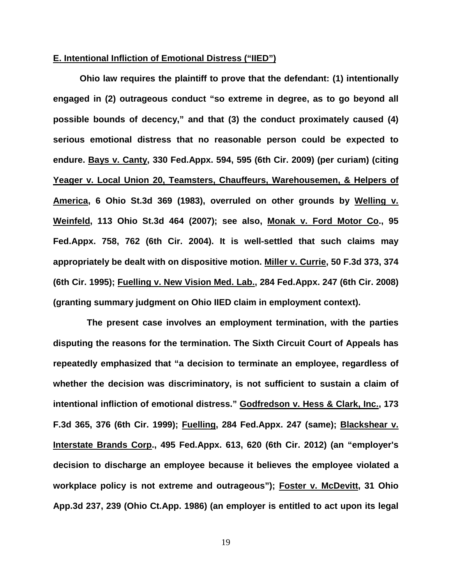### **E. Intentional Infliction of Emotional Distress ("IIED")**

**Ohio law requires the plaintiff to prove that the defendant: (1) intentionally engaged in (2) outrageous conduct "so extreme in degree, as to go beyond all possible bounds of decency," and that (3) the conduct proximately caused (4) serious emotional distress that no reasonable person could be expected to endure. Bays v. Canty, 330 Fed.Appx. 594, 595 (6th Cir. 2009) (per curiam) (citing Yeager v. Local Union 20, Teamsters, Chauffeurs, Warehousemen, & Helpers of America, 6 Ohio St.3d 369 (1983), overruled on other grounds by Welling v. Weinfeld, 113 Ohio St.3d 464 (2007); see also, Monak v. Ford Motor Co., 95 Fed.Appx. 758, 762 (6th Cir. 2004). It is well-settled that such claims may appropriately be dealt with on dispositive motion. Miller v. Currie, 50 F.3d 373, 374 (6th Cir. 1995); Fuelling v. New Vision Med. Lab., 284 Fed.Appx. 247 (6th Cir. 2008) (granting summary judgment on Ohio IIED claim in employment context).**

**The present case involves an employment termination, with the parties disputing the reasons for the termination. The Sixth Circuit Court of Appeals has repeatedly emphasized that "a decision to terminate an employee, regardless of whether the decision was discriminatory, is not sufficient to sustain a claim of intentional infliction of emotional distress." Godfredson v. Hess & Clark, Inc., 173 F.3d 365, 376 (6th Cir. 1999); Fuelling, 284 Fed.Appx. 247 (same); Blackshear v. Interstate Brands Corp., 495 Fed.Appx. 613, 620 (6th Cir. 2012) (an "employer's decision to discharge an employee because it believes the employee violated a workplace policy is not extreme and outrageous"); Foster v. McDevitt, 31 Ohio App.3d 237, 239 (Ohio Ct.App. 1986) (an employer is entitled to act upon its legal**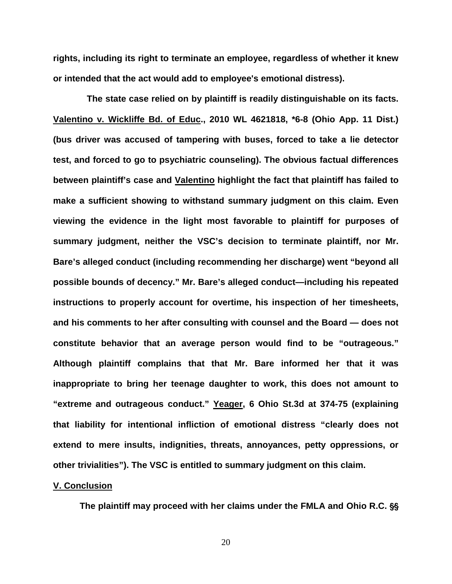**rights, including its right to terminate an employee, regardless of whether it knew or intended that the act would add to employee's emotional distress).** 

**The state case relied on by plaintiff is readily distinguishable on its facts. Valentino v. Wickliffe Bd. of Educ., 2010 WL 4621818, \*6-8 (Ohio App. 11 Dist.) (bus driver was accused of tampering with buses, forced to take a lie detector test, and forced to go to psychiatric counseling). The obvious factual differences between plaintiff's case and Valentino highlight the fact that plaintiff has failed to make a sufficient showing to withstand summary judgment on this claim. Even viewing the evidence in the light most favorable to plaintiff for purposes of summary judgment, neither the VSC's decision to terminate plaintiff, nor Mr. Bare's alleged conduct (including recommending her discharge) went "beyond all possible bounds of decency." Mr. Bare's alleged conduct—including his repeated instructions to properly account for overtime, his inspection of her timesheets, and his comments to her after consulting with counsel and the Board — does not constitute behavior that an average person would find to be "outrageous." Although plaintiff complains that that Mr. Bare informed her that it was inappropriate to bring her teenage daughter to work, this does not amount to "extreme and outrageous conduct." Yeager, 6 Ohio St.3d at 374-75 (explaining that liability for intentional infliction of emotional distress "clearly does not extend to mere insults, indignities, threats, annoyances, petty oppressions, or other trivialities"). The VSC is entitled to summary judgment on this claim.**

### **V. Conclusion**

The plaintiff may proceed with her claims under the FMLA and Ohio R.C. §§